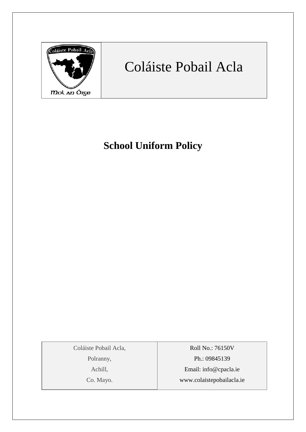

# Coláiste Pobail Acla

# **School Uniform Policy**

Coláiste Pobail Acla,

Polranny,

Achill,

Co. Mayo.

Roll No.: 76150V Ph.: 09845139 Email: [info@cpacla.ie](mailto:info@cpacla.ie) www.colaistepobailacla.ie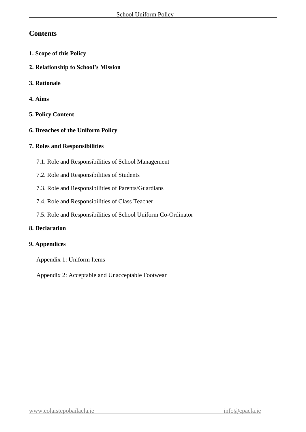# **Contents**

- **1. Scope of this Policy**
- **2. Relationship to School's Mission**
- **3. Rationale**
- **4. Aims**
- **5. Policy Content**
- **6. Breaches of the Uniform Policy**

# **7. Roles and Responsibilities**

- 7.1. Role and Responsibilities of School Management
- 7.2. Role and Responsibilities of Students
- 7.3. Role and Responsibilities of Parents/Guardians
- 7.4. Role and Responsibilities of Class Teacher
- 7.5. Role and Responsibilities of School Uniform Co-Ordinator

# **8. Declaration**

# **9. Appendices**

- Appendix 1: Uniform Items
- Appendix 2: Acceptable and Unacceptable Footwear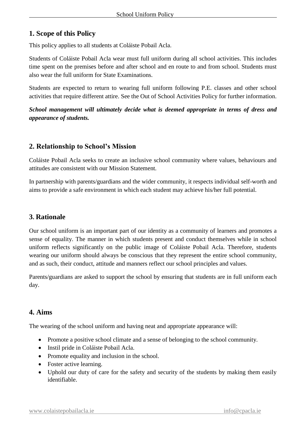# **1. Scope of this Policy**

This policy applies to all students at Coláiste Pobail Acla.

Students of Coláiste Pobail Acla wear must full uniform during all school activities. This includes time spent on the premises before and after school and en route to and from school. Students must also wear the full uniform for State Examinations.

Students are expected to return to wearing full uniform following P.E. classes and other school activities that require different attire. See the Out of School Activities Policy for further information.

*School management will ultimately decide what is deemed appropriate in terms of dress and appearance of students.*

# **2. Relationship to School's Mission**

Coláiste Pobail Acla seeks to create an inclusive school community where values, behaviours and attitudes are consistent with our Mission Statement.

In partnership with parents/guardians and the wider community, it respects individual self-worth and aims to provide a safe environment in which each student may achieve his/her full potential.

# **3. Rationale**

Our school uniform is an important part of our identity as a community of learners and promotes a sense of equality. The manner in which students present and conduct themselves while in school uniform reflects significantly on the public image of Coláiste Pobail Acla. Therefore, students wearing our uniform should always be conscious that they represent the entire school community, and as such, their conduct, attitude and manners reflect our school principles and values.

Parents/guardians are asked to support the school by ensuring that students are in full uniform each day.

# **4. Aims**

The wearing of the school uniform and having neat and appropriate appearance will:

- Promote a positive school climate and a sense of belonging to the school community.
- Instil pride in Coláiste Pobail Acla.
- Promote equality and inclusion in the school.
- Foster active learning.
- Uphold our duty of care for the safety and security of the students by making them easily identifiable.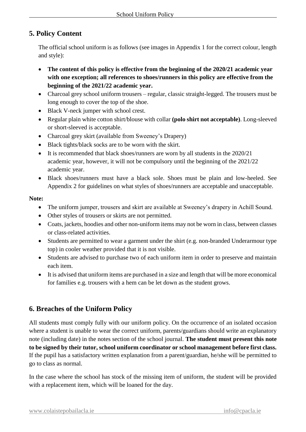# **5. Policy Content**

The official school uniform is as follows (see images in Appendix 1 for the correct colour, length and style):

- **The content of this policy is effective from the beginning of the 2020/21 academic year with one exception; all references to shoes/runners in this policy are effective from the beginning of the 2021/22 academic year.**
- Charcoal grey school uniform trousers regular, classic straight-legged. The trousers must be long enough to cover the top of the shoe.
- Black V-neck jumper with school crest.
- Regular plain white cotton shirt/blouse with collar **(polo shirt not acceptable)**. Long-sleeved or short-sleeved is acceptable.
- Charcoal grey skirt (available from Sweeney's Drapery)
- Black tights/black socks are to be worn with the skirt.
- It is recommended that black shoes/runners are worn by all students in the 2020/21 academic year, however, it will not be compulsory until the beginning of the 2021/22 academic year.
- Black shoes/runners must have a black sole. Shoes must be plain and low-heeled. See Appendix 2 for guidelines on what styles of shoes/runners are acceptable and unacceptable.

#### **Note:**

- The uniform jumper, trousers and skirt are available at Sweeney's drapery in Achill Sound.
- Other styles of trousers or skirts are not permitted.
- Coats, jackets, hoodies and other non-uniform items may not be worn in class, between classes or class-related activities.
- Students are permitted to wear a garment under the shirt (e.g. non-branded Underarmour type top) in cooler weather provided that it is not visible.
- Students are advised to purchase two of each uniform item in order to preserve and maintain each item.
- It is advised that uniform items are purchased in a size and length that will be more economical for families e.g. trousers with a hem can be let down as the student grows.

# **6. Breaches of the Uniform Policy**

All students must comply fully with our uniform policy. On the occurrence of an isolated occasion where a student is unable to wear the correct uniform, parents/guardians should write an explanatory note (including date) in the notes section of the school journal. **The student must present this note to be signed by their tutor, school uniform coordinator or school management before first class.** If the pupil has a satisfactory written explanation from a parent/guardian, he/she will be permitted to go to class as normal.

In the case where the school has stock of the missing item of uniform, the student will be provided with a replacement item, which will be loaned for the day.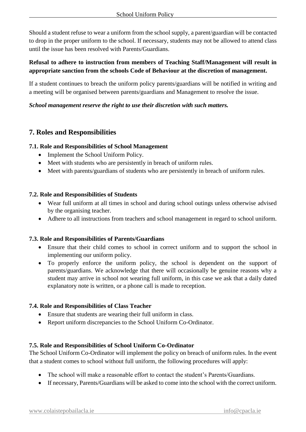Should a student refuse to wear a uniform from the school supply, a parent/guardian will be contacted to drop in the proper uniform to the school. If necessary, students may not be allowed to attend class until the issue has been resolved with Parents/Guardians.

# **Refusal to adhere to instruction from members of Teaching Staff/Management will result in appropriate sanction from the schools Code of Behaviour at the discretion of management.**

If a student continues to breach the uniform policy parents/guardians will be notified in writing and a meeting will be organised between parents/guardians and Management to resolve the issue.

#### *School management reserve the right to use their discretion with such matters.*

# **7. Roles and Responsibilities**

### **7.1. Role and Responsibilities of School Management**

- Implement the School Uniform Policy.
- Meet with students who are persistently in breach of uniform rules.
- Meet with parents/guardians of students who are persistently in breach of uniform rules.

#### **7.2. Role and Responsibilities of Students**

- Wear full uniform at all times in school and during school outings unless otherwise advised by the organising teacher.
- Adhere to all instructions from teachers and school management in regard to school uniform.

#### **7.3. Role and Responsibilities of Parents/Guardians**

- Ensure that their child comes to school in correct uniform and to support the school in implementing our uniform policy.
- To properly enforce the uniform policy, the school is dependent on the support of parents/guardians. We acknowledge that there will occasionally be genuine reasons why a student may arrive in school not wearing full uniform, in this case we ask that a daily dated explanatory note is written, or a phone call is made to reception.

#### **7.4. Role and Responsibilities of Class Teacher**

- Ensure that students are wearing their full uniform in class.
- Report uniform discrepancies to the School Uniform Co-Ordinator.

#### **7.5. Role and Responsibilities of School Uniform Co-Ordinator**

The School Uniform Co-Ordinator will implement the policy on breach of uniform rules. In the event that a student comes to school without full uniform, the following procedures will apply:

- The school will make a reasonable effort to contact the student's Parents/Guardians.
- If necessary, Parents/Guardians will be asked to come into the school with the correct uniform.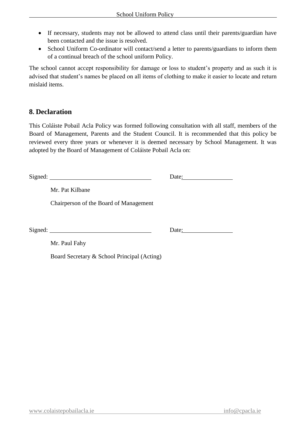- If necessary, students may not be allowed to attend class until their parents/guardian have been contacted and the issue is resolved.
- School Uniform Co-ordinator will contact/send a letter to parents/guardians to inform them of a continual breach of the school uniform Policy.

The school cannot accept responsibility for damage or loss to student's property and as such it is advised that student's names be placed on all items of clothing to make it easier to locate and return mislaid items.

# **8. Declaration**

This Coláiste Pobail Acla Policy was formed following consultation with all staff, members of the Board of Management, Parents and the Student Council. It is recommended that this policy be reviewed every three years or whenever it is deemed necessary by School Management. It was adopted by the Board of Management of Coláiste Pobail Acla on:

Signed: Date: Mr. Pat Kilbane Chairperson of the Board of Management Signed: Date: Mr. Paul Fahy Board Secretary & School Principal (Acting)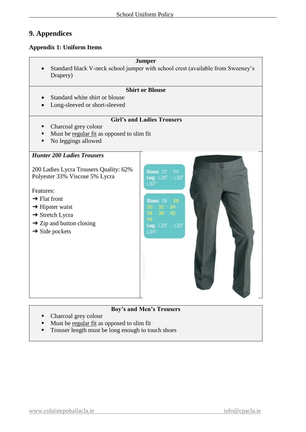# **9. Appendices**

### **Appendix 1: Uniform Items**

| <b>Jumper</b>                                                                                                                                                                                                                                         |                                                                                                                                                                      |
|-------------------------------------------------------------------------------------------------------------------------------------------------------------------------------------------------------------------------------------------------------|----------------------------------------------------------------------------------------------------------------------------------------------------------------------|
| Standard black V-neck school jumper with school crest (available from Sweeney's<br>Drapery)                                                                                                                                                           |                                                                                                                                                                      |
| <b>Shirt or Blouse</b>                                                                                                                                                                                                                                |                                                                                                                                                                      |
| Standard white shirt or blouse                                                                                                                                                                                                                        |                                                                                                                                                                      |
| Long-sleeved or short-sleeved                                                                                                                                                                                                                         |                                                                                                                                                                      |
| <b>Girl's and Ladies Trousers</b>                                                                                                                                                                                                                     |                                                                                                                                                                      |
| Charcoal grey colour                                                                                                                                                                                                                                  |                                                                                                                                                                      |
| Must be regular fit as opposed to slim fit<br>$\blacksquare$                                                                                                                                                                                          |                                                                                                                                                                      |
| No leggings allowed<br>$\blacksquare$                                                                                                                                                                                                                 |                                                                                                                                                                      |
| <b>Hunter 200 Ladies Trousers</b>                                                                                                                                                                                                                     |                                                                                                                                                                      |
| 200 Ladies Lycra Trousers Quality: 62%<br>Polyester 33% Viscose 5% Lycra<br>Features:<br>$\rightarrow$ Flat front<br>$\rightarrow$ Hipster waist<br>$\rightarrow$ Stretch Lycra<br>$\rightarrow$ Zip and button closing<br>$\rightarrow$ Side pockets | <b>Sizes: 22</b><br>24<br><b>L30</b><br>Leg: L28"<br>l 32'<br><b>Sizes: 26</b><br>28<br>32 <sub>1</sub><br>34<br>30<br>38 40<br>36<br>42<br>Leg: L30"   L32"<br>L34" |

# **Boy's and Men's Trousers**

- Charcoal grey colour
- $\blacksquare$  Must be <u>regular fit</u> as opposed to slim fit
- $\blacksquare$  Trouser length must be long enough to touch shoes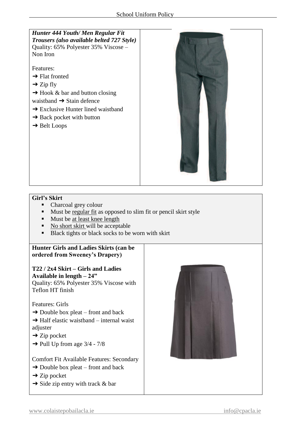#### *Hunter 444 Youth/ Men Regular Fit Trousers (also available belted 727 Style)*  Quality: 65% Polyester 35% Viscose – Non Iron

Features:

- $\rightarrow$  Flat fronted
- $\rightarrow$  Zip fly
- $\rightarrow$  Hook & bar and button closing
- waistband  $\rightarrow$  Stain defence
- $\rightarrow$  Exclusive Hunter lined waistband
- $\rightarrow$  Back pocket with button
- ➔ Belt Loops



#### **Girl's Skirt**

- Charcoal grey colour
- Must be regular fit as opposed to slim fit or pencil skirt style
- Must be <u>at least knee length</u>
- $\blacksquare$  No short skirt will be acceptable
- $\blacksquare$  Black tights or black socks to be worn with skirt

#### **Hunter Girls and Ladies Skirts (can be ordered from Sweeney's Drapery)**

**T22 / 2x4 Skirt – Girls and Ladies Available in length – 24"**  Quality: 65% Polyester 35% Viscose with Teflon HT finish

Features: Girls

- $\rightarrow$  Double box pleat front and back
- $\rightarrow$  Half elastic waistband internal waist adjuster
- $\rightarrow$  Zip pocket
- $\rightarrow$  Pull Up from age 3/4 7/8
- Comfort Fit Available Features: Secondary
- $\rightarrow$  Double box pleat front and back
- $\rightarrow$  Zip pocket
- $\rightarrow$  Side zip entry with track & bar